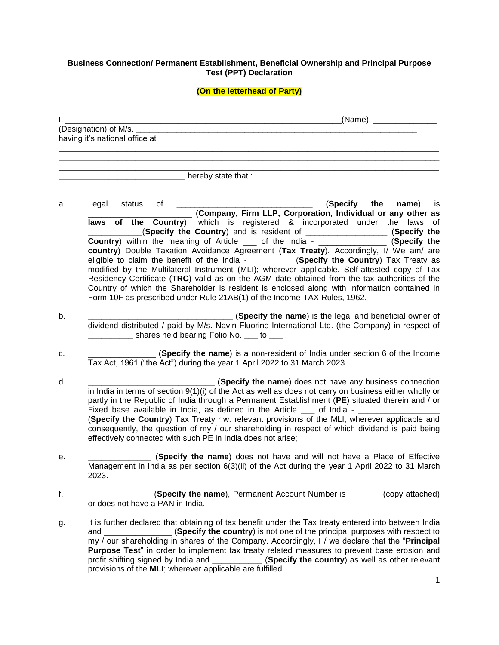## **Business Connection/ Permanent Establishment, Beneficial Ownership and Principal Purpose Test (PPT) Declaration**

## **(On the letterhead of Party)**

| $\mathbf{l}$ , | (Name), ________________                                                                                                                                                                               |
|----------------|--------------------------------------------------------------------------------------------------------------------------------------------------------------------------------------------------------|
|                | (Designation) of M/s.<br>having it's national office at                                                                                                                                                |
|                |                                                                                                                                                                                                        |
|                |                                                                                                                                                                                                        |
|                | hereby state that :                                                                                                                                                                                    |
|                |                                                                                                                                                                                                        |
| a.             | (Specify the<br>status of<br>Legal<br><b>name</b> ) is<br>__ (Company, Firm LLP, Corporation, Individual or any other as                                                                               |
|                | laws of the Country), which is registered & incorporated under the laws<br>of                                                                                                                          |
|                | (Specify the Country) and is resident of ___________________ (Specify the                                                                                                                              |
|                | Country) within the meaning of Article ___ of the India - _______________ (Specify the<br>country) Double Taxation Avoidance Agreement (Tax Treaty). Accordingly, I/ We am/ are                        |
|                | eligible to claim the benefit of the India - _________ (Specify the Country) Tax Treaty as                                                                                                             |
|                | modified by the Multilateral Instrument (MLI); wherever applicable. Self-attested copy of Tax                                                                                                          |
|                | Residency Certificate (TRC) valid as on the AGM date obtained from the tax authorities of the                                                                                                          |
|                | Country of which the Shareholder is resident is enclosed along with information contained in<br>Form 10F as prescribed under Rule 21AB(1) of the Income-TAX Rules, 1962.                               |
| b.             | (Specify the name) is the legal and beneficial owner of                                                                                                                                                |
|                | dividend distributed / paid by M/s. Navin Fluorine International Ltd. (the Company) in respect of                                                                                                      |
|                | ________ shares held bearing Folio No. ___ to ___.                                                                                                                                                     |
| c.             | $($ Specify the name) is a non-resident of India under section 6 of the Income<br>Tax Act, 1961 ("the Act") during the year 1 April 2022 to 31 March 2023.                                             |
|                |                                                                                                                                                                                                        |
| d.             | (Specify the name) does not have any business connection<br>in India in terms of section 9(1)(i) of the Act as well as does not carry on business either wholly or                                     |
|                | partly in the Republic of India through a Permanent Establishment (PE) situated therein and / or                                                                                                       |
|                | Fixed base available in India, as defined in the Article __ of India - ______________                                                                                                                  |
|                | (Specify the Country) Tax Treaty r.w. relevant provisions of the MLI; wherever applicable and                                                                                                          |
|                | consequently, the question of my / our shareholding in respect of which dividend is paid being<br>effectively connected with such PE in India does not arise;                                          |
| е.             | (Specify the name) does not have and will not have a Place of Effective                                                                                                                                |
|                | Management in India as per section 6(3)(ii) of the Act during the year 1 April 2022 to 31 March<br>2023.                                                                                               |
| f.             | <b>(Specify the name)</b> , Permanent Account Number is ________ (copy attached)                                                                                                                       |
|                | or does not have a PAN in India.                                                                                                                                                                       |
| g.             | It is further declared that obtaining of tax benefit under the Tax treaty entered into between India                                                                                                   |
|                | (Specify the country) is not one of the principal purposes with respect to<br>and                                                                                                                      |
|                | my / our shareholding in shares of the Company. Accordingly, I / we declare that the "Principal<br><b>Purpose Test</b> " in order to implement tax treaty related measures to prevent base erosion and |
|                | profit shifting signed by India and ____________ (Specify the country) as well as other relevant                                                                                                       |
|                | provisions of the MLI; wherever applicable are fulfilled.                                                                                                                                              |